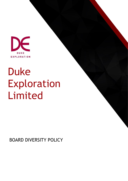

# Duke Exploration Limited

BOARD DIVERSITY POLICY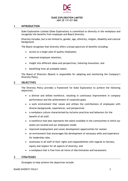

# **DUKE EXPLORATION LIMITED**

ABN 28 119 421 868

#### **1 INTRODUCTION**

Duke Exploration Limited (Duke Exploration) is committed to diversity in the workplace and recognises the benefits from employee and Board diversity.

Diversity includes, but is not limited to, gender, age, ethnicity, religion, disability and cultural background.

The Board recognises that diversity offers a broad spectrum of benefits including:

- access to a larger pool of quality employees;
- improved employee retention;
- insight into different ideas and perspectives, fostering innovation; and
- benefiting from all available talent.

The Board of Directors (Board) is responsible for adopting and monitoring the Company's Diversity Policy.

### **2 OBJECTIVES**

The Diversity Policy provides a framework for Duke Exploration to achieve the following objectives:

- a diverse and skilled workforce, resulting in continuous improvement in company performance and the achievement of corporate goals.
- a work environment that values and utilises the contributions of employees with diverse backgrounds, experiences, and perspectives
- a workplace culture characterised by inclusive practices and behaviors for the benefit of all staff.
- A workforce that best represents the talent available in the communities in which our assets are located and our employees reside.
- improved employment and career development opportunities for women.
- an environment that encourages the development of necessary skills and experience for leadership roles.
- awareness in all staff of their rights and responsibilities with regards to fairness, equity and respect for all aspects of diversity, and
- a workplace that is free from all forms of discrimination and harassment.

# **3 STRATEGIES**

Strategies to help achieve the objectives include: